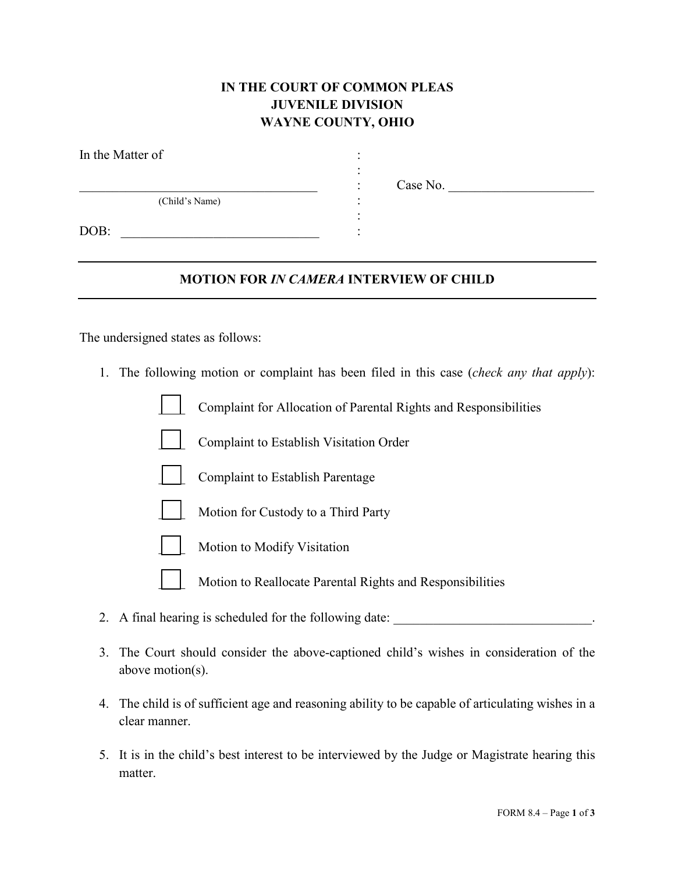## **IN THE COURT OF COMMON PLEAS JUVENILE DIVISION WAYNE COUNTY, OHIO**

:

| In the Matter of |  |
|------------------|--|
|                  |  |
| (Child's Name)   |  |
| DOB:             |  |

\_\_\_\_\_\_\_\_\_\_\_\_\_\_\_\_\_\_\_\_\_\_\_\_\_\_\_\_\_\_\_\_\_\_\_\_ : Case No. \_\_\_\_\_\_\_\_\_\_\_\_\_\_\_\_\_\_\_\_\_\_

## **MOTION FOR** *IN CAMERA* **INTERVIEW OF CHILD**

The undersigned states as follows:

1. The following motion or complaint has been filed in this case (*check any that apply*):

\_\_\_\_ Complaint for Allocation of Parental Rights and Responsibilities

- \_\_\_\_ Complaint to Establish Visitation Order
- Complaint to Establish Parentage
- Motion for Custody to a Third Party
- Motion to Modify Visitation
- Motion to Reallocate Parental Rights and Responsibilities
- 2. A final hearing is scheduled for the following date: \_\_\_\_\_\_\_\_\_\_\_\_\_\_\_\_\_\_\_\_\_\_\_\_\_\_\_\_\_\_\_.
- 3. The Court should consider the above-captioned child's wishes in consideration of the above motion(s).
- 4. The child is of sufficient age and reasoning ability to be capable of articulating wishes in a clear manner.
- 5. It is in the child's best interest to be interviewed by the Judge or Magistrate hearing this matter.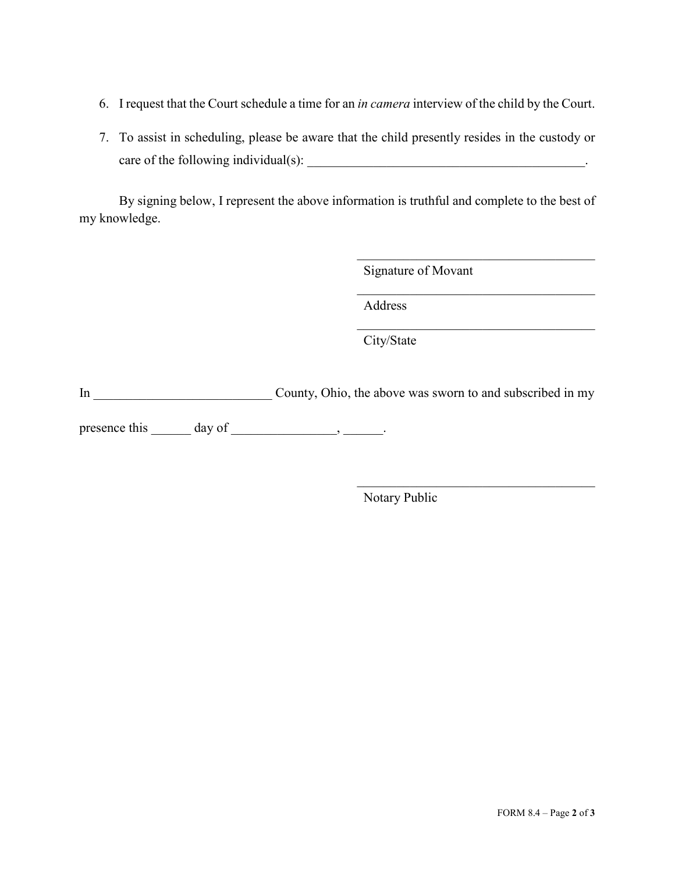- 6. I request that the Court schedule a time for an *in camera* interview of the child by the Court.
- 7. To assist in scheduling, please be aware that the child presently resides in the custody or care of the following individual(s): <br>
example 2.1 and 2.1 and 2.1 and 2.1 and 2.1 and 2.1 and 2.1 and 2.1 and 2.1 and 2.1 and 2.1 and 2.1 and 2.1 and 2.1 and 2.1 and 2.1 and 2.1 and 2.1 and 2.1 and 2.1 and 2.1 and 2.1 and

By signing below, I represent the above information is truthful and complete to the best of my knowledge.

Signature of Movant

 $\mathcal{L}_\mathcal{L}$ 

 $\mathcal{L}_\mathcal{L}$ 

Address

City/State

In County, Ohio, the above was sworn to and subscribed in my

presence this  $\_\_\_\_\$  day of  $\_\_\_\_\_\_\$ 

Notary Public